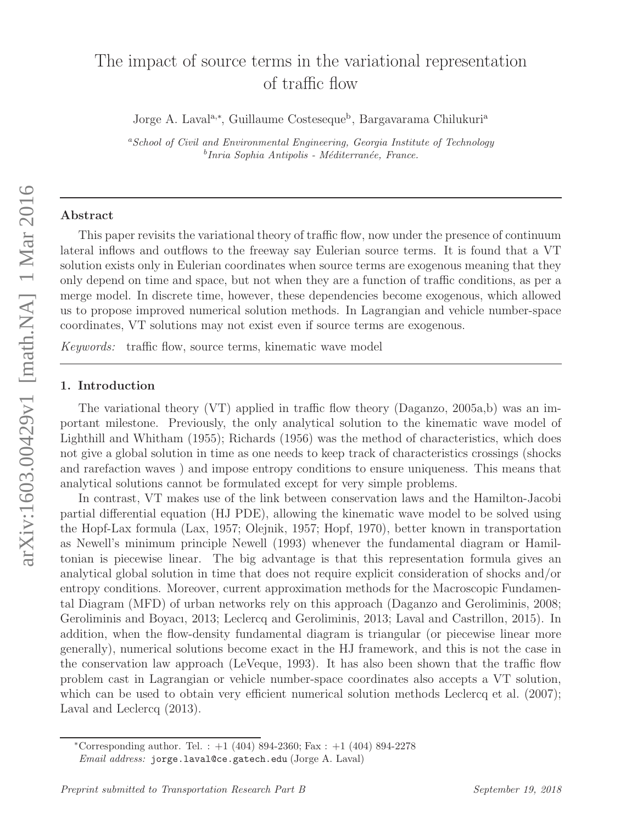# The impact of source terms in the variational representation of traffic flow

Jorge A. Laval<sup>a,\*</sup>, Guillaume Costeseque<sup>b</sup>, Bargavarama Chilukuri<sup>a</sup>

<sup>a</sup>*School of Civil and Environmental Engineering, Georgia Institute of Technology* <sup>b</sup>Inria Sophia Antipolis - Méditerranée, France.

#### Abstract

This paper revisits the variational theory of traffic flow, now under the presence of continuum lateral inflows and outflows to the freeway say Eulerian source terms. It is found that a VT solution exists only in Eulerian coordinates when source terms are exogenous meaning that they only depend on time and space, but not when they are a function of traffic conditions, as per a merge model. In discrete time, however, these dependencies become exogenous, which allowed us to propose improved numerical solution methods. In Lagrangian and vehicle number-space coordinates, VT solutions may not exist even if source terms are exogenous.

*Keywords:* traffic flow, source terms, kinematic wave model

## 1. Introduction

The variational theory (VT) applied in traffic flow theory (Daganzo, 2005a,b) was an important milestone. Previously, the only analytical solution to the kinematic wave model of Lighthill and Whitham (1955); Richards (1956) was the method of characteristics, which does not give a global solution in time as one needs to keep track of characteristics crossings (shocks and rarefaction waves ) and impose entropy conditions to ensure uniqueness. This means that analytical solutions cannot be formulated except for very simple problems.

In contrast, VT makes use of the link between conservation laws and the Hamilton-Jacobi partial differential equation (HJ PDE), allowing the kinematic wave model to be solved using the Hopf-Lax formula (Lax, 1957; Olejnik, 1957; Hopf, 1970), better known in transportation as Newell's minimum principle Newell (1993) whenever the fundamental diagram or Hamiltonian is piecewise linear. The big advantage is that this representation formula gives an analytical global solution in time that does not require explicit consideration of shocks and/or entropy conditions. Moreover, current approximation methods for the Macroscopic Fundamental Diagram (MFD) of urban networks rely on this approach (Daganzo and Geroliminis, 2008; Geroliminis and Boyacı, 2013; Leclercq and Geroliminis, 2013; Laval and Castrillon, 2015). In addition, when the flow-density fundamental diagram is triangular (or piecewise linear more generally), numerical solutions become exact in the HJ framework, and this is not the case in the conservation law approach (LeVeque, 1993). It has also been shown that the traffic flow problem cast in Lagrangian or vehicle number-space coordinates also accepts a VT solution, which can be used to obtain very efficient numerical solution methods Leclercq et al. (2007); Laval and Leclercq (2013).

<sup>\*</sup>Corresponding author. Tel. :  $+1$  (404) 894-2360; Fax :  $+1$  (404) 894-2278

*Email address:* jorge.laval@ce.gatech.edu (Jorge A. Laval)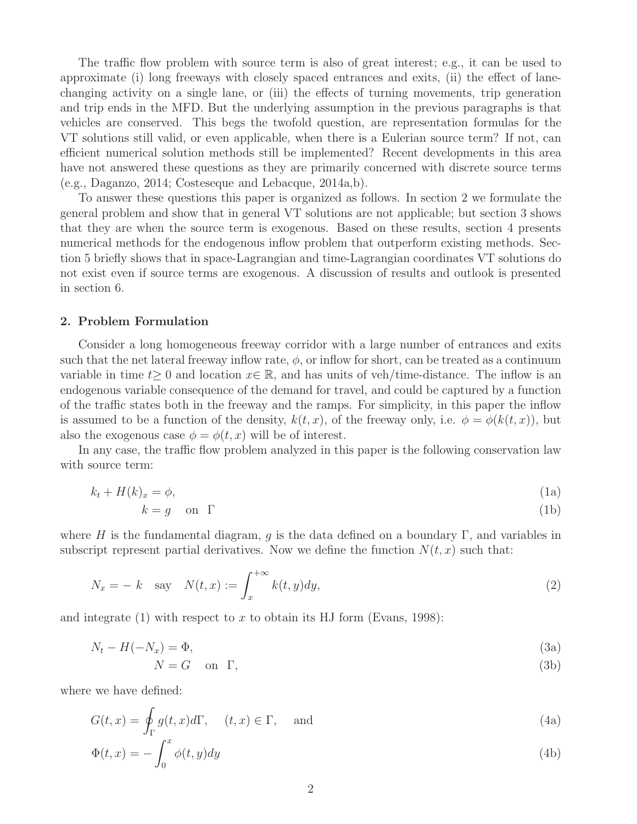The traffic flow problem with source term is also of great interest; e.g., it can be used to approximate (i) long freeways with closely spaced entrances and exits, (ii) the effect of lanechanging activity on a single lane, or (iii) the effects of turning movements, trip generation and trip ends in the MFD. But the underlying assumption in the previous paragraphs is that vehicles are conserved. This begs the twofold question, are representation formulas for the VT solutions still valid, or even applicable, when there is a Eulerian source term? If not, can efficient numerical solution methods still be implemented? Recent developments in this area have not answered these questions as they are primarily concerned with discrete source terms (e.g., Daganzo, 2014; Costeseque and Lebacque, 2014a,b).

To answer these questions this paper is organized as follows. In section 2 we formulate the general problem and show that in general VT solutions are not applicable; but section 3 shows that they are when the source term is exogenous. Based on these results, section 4 presents numerical methods for the endogenous inflow problem that outperform existing methods. Section 5 briefly shows that in space-Lagrangian and time-Lagrangian coordinates VT solutions do not exist even if source terms are exogenous. A discussion of results and outlook is presented in section 6.

#### 2. Problem Formulation

Consider a long homogeneous freeway corridor with a large number of entrances and exits such that the net lateral freeway inflow rate,  $\phi$ , or inflow for short, can be treated as a continuum variable in time  $t>0$  and location  $x\in\mathbb{R}$ , and has units of veh/time-distance. The inflow is an endogenous variable consequence of the demand for travel, and could be captured by a function of the traffic states both in the freeway and the ramps. For simplicity, in this paper the inflow is assumed to be a function of the density,  $k(t, x)$ , of the freeway only, i.e.  $\phi = \phi(k(t, x))$ , but also the exogenous case  $\phi = \phi(t, x)$  will be of interest.

In any case, the traffic flow problem analyzed in this paper is the following conservation law with source term:

$$
k_t + H(k)_x = \phi,\tag{1a}
$$

$$
k = g \quad \text{on} \quad \Gamma \tag{1b}
$$

where H is the fundamental diagram, g is the data defined on a boundary Γ, and variables in subscript represent partial derivatives. Now we define the function  $N(t, x)$  such that:

$$
N_x = -k \quad \text{say} \quad N(t, x) := \int_x^{+\infty} k(t, y) dy,\tag{2}
$$

and integrate (1) with respect to x to obtain its HJ form (Evans, 1998):

$$
N_t - H(-N_x) = \Phi,\tag{3a}
$$

$$
N = G \quad \text{on } \Gamma,\tag{3b}
$$

where we have defined:

$$
G(t,x) = \oint_{\Gamma} g(t,x)d\Gamma, \quad (t,x) \in \Gamma, \quad \text{and}
$$
  

$$
\Phi(t,x) = -\int_{0}^{x} \phi(t,y)dy
$$
 (4b)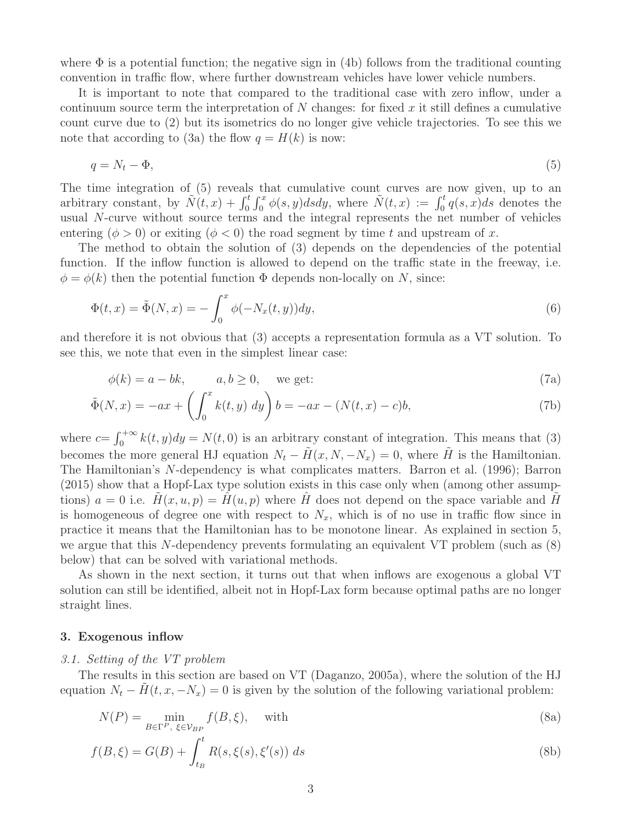where  $\Phi$  is a potential function; the negative sign in (4b) follows from the traditional counting convention in traffic flow, where further downstream vehicles have lower vehicle numbers.

It is important to note that compared to the traditional case with zero inflow, under a continuum source term the interpretation of  $N$  changes: for fixed  $x$  it still defines a cumulative count curve due to (2) but its isometrics do no longer give vehicle trajectories. To see this we note that according to (3a) the flow  $q = H(k)$  is now:

$$
q = N_t - \Phi,\tag{5}
$$

The time integration of (5) reveals that cumulative count curves are now given, up to an arbitrary constant, by  $\tilde{N}(t,x) + \int_0^t \int_0^x \phi(s,y) ds dy$ , where  $\tilde{N}(t,x) := \int_0^t q(s,x) ds$  denotes the usual N-curve without source terms and the integral represents the net number of vehicles entering  $(\phi > 0)$  or exiting  $(\phi < 0)$  the road segment by time t and upstream of x.

The method to obtain the solution of (3) depends on the dependencies of the potential function. If the inflow function is allowed to depend on the traffic state in the freeway, i.e.  $\phi = \phi(k)$  then the potential function  $\Phi$  depends non-locally on N, since:

$$
\Phi(t,x) = \tilde{\Phi}(N,x) = -\int_0^x \phi(-N_x(t,y))dy,\tag{6}
$$

and therefore it is not obvious that (3) accepts a representation formula as a VT solution. To see this, we note that even in the simplest linear case:

$$
\phi(k) = a - bk, \qquad a, b \ge 0, \quad \text{we get:} \tag{7a}
$$

$$
\tilde{\Phi}(N, x) = -ax + \left(\int_0^x k(t, y) \, dy\right) b = -ax - (N(t, x) - c)b,\tag{7b}
$$

where  $c = \int_0^{+\infty} k(t, y) dy = N(t, 0)$  is an arbitrary constant of integration. This means that (3) becomes the more general HJ equation  $N_t - \tilde{H}(x, N, -N_x) = 0$ , where  $\tilde{H}$  is the Hamiltonian. The Hamiltonian's N-dependency is what complicates matters. Barron et al. (1996); Barron (2015) show that a Hopf-Lax type solution exists in this case only when (among other assumptions)  $a = 0$  i.e.  $H(x, u, p) = H(u, p)$  where H does not depend on the space variable and H is homogeneous of degree one with respect to  $N_x$ , which is of no use in traffic flow since in practice it means that the Hamiltonian has to be monotone linear. As explained in section 5, we argue that this N-dependency prevents formulating an equivalent VT problem (such as (8) below) that can be solved with variational methods.

As shown in the next section, it turns out that when inflows are exogenous a global VT solution can still be identified, albeit not in Hopf-Lax form because optimal paths are no longer straight lines.

## 3. Exogenous inflow

#### *3.1. Setting of the VT problem*

The results in this section are based on VT (Daganzo, 2005a), where the solution of the HJ equation  $N_t - H(t, x, -N_x) = 0$  is given by the solution of the following variational problem:

$$
N(P) = \min_{B \in \Gamma^P, \ \xi \in \mathcal{V}_{BP}} f(B, \xi), \quad \text{with}
$$
\n
$$
(8a)
$$

$$
f(B,\xi) = G(B) + \int_{t_B}^t R(s,\xi(s),\xi'(s)) \ ds
$$
 (8b)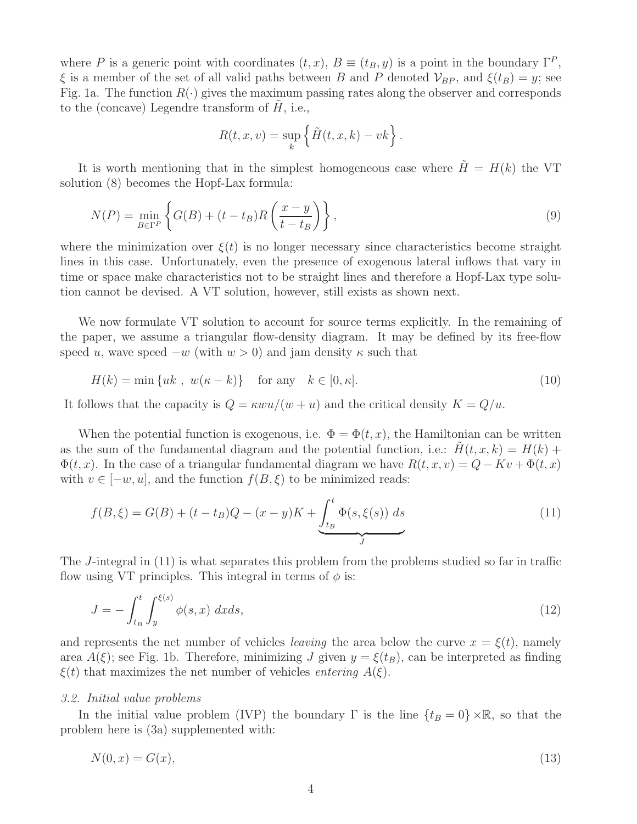where P is a generic point with coordinates  $(t, x)$ ,  $B \equiv (t_B, y)$  is a point in the boundary  $\Gamma^P$ ,  $\xi$  is a member of the set of all valid paths between B and P denoted  $V_{BP}$ , and  $\xi(t_B) = y$ ; see Fig. 1a. The function  $R(\cdot)$  gives the maximum passing rates along the observer and corresponds to the (concave) Legendre transform of  $H$ , i.e.,

$$
R(t, x, v) = \sup_{k} \left\{ \tilde{H}(t, x, k) - vk \right\}.
$$

It is worth mentioning that in the simplest homogeneous case where  $\tilde{H} = H(k)$  the VT solution (8) becomes the Hopf-Lax formula:

$$
N(P) = \min_{B \in \Gamma^P} \left\{ G(B) + (t - t_B)R\left(\frac{x - y}{t - t_B}\right) \right\},\tag{9}
$$

where the minimization over  $\xi(t)$  is no longer necessary since characteristics become straight lines in this case. Unfortunately, even the presence of exogenous lateral inflows that vary in time or space make characteristics not to be straight lines and therefore a Hopf-Lax type solution cannot be devised. A VT solution, however, still exists as shown next.

We now formulate VT solution to account for source terms explicitly. In the remaining of the paper, we assume a triangular flow-density diagram. It may be defined by its free-flow speed u, wave speed  $-w$  (with  $w > 0$ ) and jam density  $\kappa$  such that

$$
H(k) = \min\{uk \ ,\ w(\kappa - k)\} \quad \text{for any} \quad k \in [0, \kappa]. \tag{10}
$$

It follows that the capacity is  $Q = \kappa w u/(w + u)$  and the critical density  $K = Q/u$ .

When the potential function is exogenous, i.e.  $\Phi = \Phi(t, x)$ , the Hamiltonian can be written as the sum of the fundamental diagram and the potential function, i.e.:  $H(t, x, k) = H(k) +$  $\Phi(t, x)$ . In the case of a triangular fundamental diagram we have  $R(t, x, v) = Q - Kv + \Phi(t, x)$ with  $v \in [-w, u]$ , and the function  $f(B, \xi)$  to be minimized reads:

$$
f(B,\xi) = G(B) + (t - t_B)Q - (x - y)K + \underbrace{\int_{t_B}^{t} \Phi(s,\xi(s)) \, ds}_{J}
$$
\n(11)

The J-integral in (11) is what separates this problem from the problems studied so far in traffic flow using VT principles. This integral in terms of  $\phi$  is:

$$
J = -\int_{t_B}^{t} \int_{y}^{\xi(s)} \phi(s, x) \, dx ds,\tag{12}
$$

and represents the net number of vehicles *leaving* the area below the curve  $x = \xi(t)$ , namely area  $A(\xi)$ ; see Fig. 1b. Therefore, minimizing J given  $y = \xi(t_B)$ , can be interpreted as finding  $\xi(t)$  that maximizes the net number of vehicles *entering*  $A(\xi)$ .

# *3.2. Initial value problems*

In the initial value problem (IVP) the boundary  $\Gamma$  is the line  $\{t_B = 0\} \times \mathbb{R}$ , so that the problem here is (3a) supplemented with:

$$
N(0,x) = G(x),\tag{13}
$$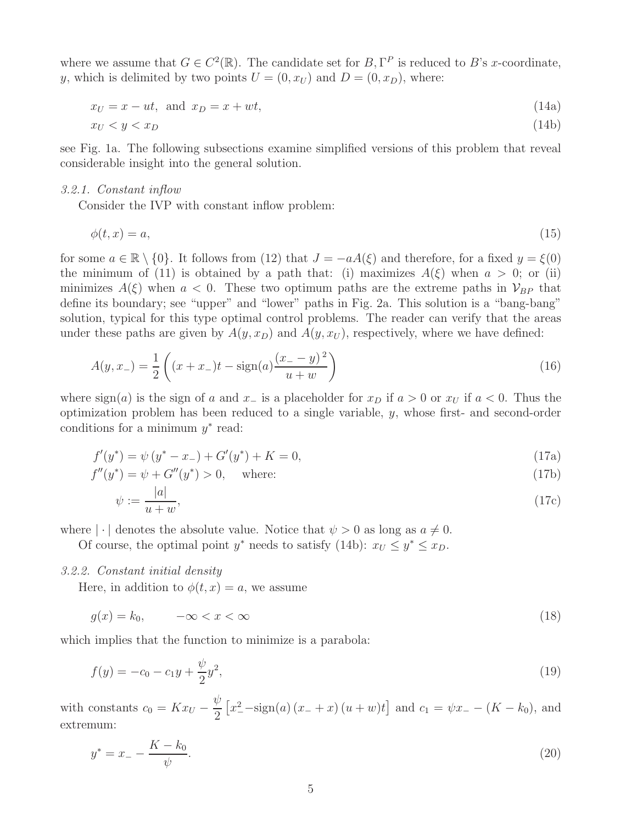where we assume that  $G \in C^2(\mathbb{R})$ . The candidate set for  $B, \Gamma^P$  is reduced to B's x-coordinate, y, which is delimited by two points  $U = (0, x_U)$  and  $D = (0, x_D)$ , where:

$$
x_U = x - ut, \text{ and } x_D = x + wt,
$$
\n
$$
(14a)
$$

$$
x_U < y < x_D \tag{14b}
$$

see Fig. 1a. The following subsections examine simplified versions of this problem that reveal considerable insight into the general solution.

# *3.2.1. Constant inflow*

Consider the IVP with constant inflow problem:

$$
\phi(t, x) = a,\tag{15}
$$

for some  $a \in \mathbb{R} \setminus \{0\}$ . It follows from (12) that  $J = -aA(\xi)$  and therefore, for a fixed  $y = \xi(0)$ the minimum of (11) is obtained by a path that: (i) maximizes  $A(\xi)$  when  $a > 0$ ; or (ii) minimizes  $A(\xi)$  when  $a < 0$ . These two optimum paths are the extreme paths in  $\mathcal{V}_{BP}$  that define its boundary; see "upper" and "lower" paths in Fig. 2a. This solution is a "bang-bang" solution, typical for this type optimal control problems. The reader can verify that the areas under these paths are given by  $A(y, x_D)$  and  $A(y, x_U)$ , respectively, where we have defined:

$$
A(y, x_{-}) = \frac{1}{2} \left( (x + x_{-})t - \text{sign}(a) \frac{(x_{-} - y)^{2}}{u + w} \right)
$$
(16)

where  $sign(a)$  is the sign of a and x<sub>−</sub> is a placeholder for  $x<sub>D</sub>$  if  $a > 0$  or  $x<sub>U</sub>$  if  $a < 0$ . Thus the optimization problem has been reduced to a single variable, y, whose first- and second-order conditions for a minimum  $y^*$  read:

$$
f'(y^*) = \psi(y^* - x_-) + G'(y^*) + K = 0,
$$
\n(17a)

$$
f''(y^*) = \psi + G''(y^*) > 0, \quad \text{where:} \tag{17b}
$$

$$
\psi := \frac{|a|}{u+w},\tag{17c}
$$

where  $|\cdot|$  denotes the absolute value. Notice that  $\psi > 0$  as long as  $a \neq 0$ .

Of course, the optimal point  $y^*$  needs to satisfy (14b):  $x_U \leq y^* \leq x_D$ .

# *3.2.2. Constant initial density*

Here, in addition to  $\phi(t, x) = a$ , we assume

$$
g(x) = k_0, \qquad -\infty < x < \infty \tag{18}
$$

which implies that the function to minimize is a parabola:

$$
f(y) = -c_0 - c_1 y + \frac{\psi}{2} y^2,
$$
\n(19)

with constants  $c_0 = Kx_U$  – ψ 2  $[x_{-}^{2}-sign(a)(x_{-}+x)(u+w)t]$  and  $c_{1} = \psi x_{-} - (K - k_{0}),$  and extremum:

$$
y^* = x_- - \frac{K - k_0}{\psi}.\tag{20}
$$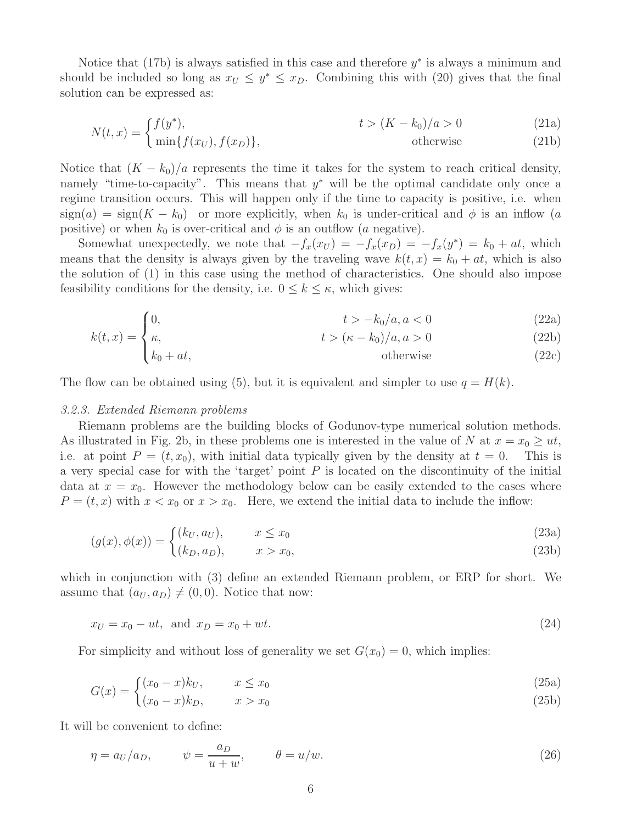Notice that (17b) is always satisfied in this case and therefore  $y^*$  is always a minimum and should be included so long as  $x_U \leq y^* \leq x_D$ . Combining this with (20) gives that the final solution can be expressed as:

$$
N(t,x) = \begin{cases} f(y^*), & t > (K - k_0)/a > 0\\ \min\{f(x_U), f(x_D)\}, & \text{otherwise} \end{cases} \tag{21a}
$$

Notice that  $(K - k_0)/a$  represents the time it takes for the system to reach critical density, namely "time-to-capacity". This means that  $y^*$  will be the optimal candidate only once a regime transition occurs. This will happen only if the time to capacity is positive, i.e. when  $sign(a) = sign(K - k_0)$  or more explicitly, when  $k_0$  is under-critical and  $\phi$  is an inflow (a positive) or when  $k_0$  is over-critical and  $\phi$  is an outflow (a negative).

Somewhat unexpectedly, we note that  $-f_x(x_U) = -f_x(x_D) = -f_x(y^*) = k_0 + at$ , which means that the density is always given by the traveling wave  $k(t, x) = k_0 + at$ , which is also the solution of (1) in this case using the method of characteristics. One should also impose feasibility conditions for the density, i.e.  $0 \leq k \leq \kappa$ , which gives:

$$
\int 0, \qquad t > -k_0/a, a < 0 \tag{22a}
$$

$$
k(t,x) = \begin{cases} \kappa, & t > (\kappa - k_0)/a, a > 0\\ k_0 + at, & \text{otherwise} \end{cases} \tag{22b}
$$

$$
k_0 + at, \qquad \qquad \text{otherwise} \qquad (22c)
$$

The flow can be obtained using (5), but it is equivalent and simpler to use  $q = H(k)$ .

#### *3.2.3. Extended Riemann problems*

Riemann problems are the building blocks of Godunov-type numerical solution methods. As illustrated in Fig. 2b, in these problems one is interested in the value of N at  $x = x_0 \geq ut$ , i.e. at point  $P = (t, x_0)$ , with initial data typically given by the density at  $t = 0$ . This is a very special case for with the 'target' point  $P$  is located on the discontinuity of the initial data at  $x = x_0$ . However the methodology below can be easily extended to the cases where  $P = (t, x)$  with  $x < x_0$  or  $x > x_0$ . Here, we extend the initial data to include the inflow:

$$
(a(x) \phi(x)) = \begin{cases} (k_U, a_U), & x \le x_0 \end{cases}
$$
\n(23a)

$$
(g(x), \varphi(x)) = \begin{cases} (k_D, a_D), & x > x_0, \end{cases}
$$
 (23b)

which in conjunction with (3) define an extended Riemann problem, or ERP for short. We assume that  $(a_U, a_D) \neq (0, 0)$ . Notice that now:

$$
x_U = x_0 - ut, \text{ and } x_D = x_0 + wt. \tag{24}
$$

For simplicity and without loss of generality we set  $G(x_0) = 0$ , which implies:

$$
G(x) = \begin{cases} (x_0 - x)k_U, & x \le x_0 \\ (x_0 - x)k_U, & x \le x_0 \end{cases}
$$
 (25a)

 $(x_0 - x)k_D,$   $x > x_0$ (25b)

It will be convenient to define:

$$
\eta = a_U/a_D, \qquad \psi = \frac{a_D}{u+w}, \qquad \theta = u/w. \tag{26}
$$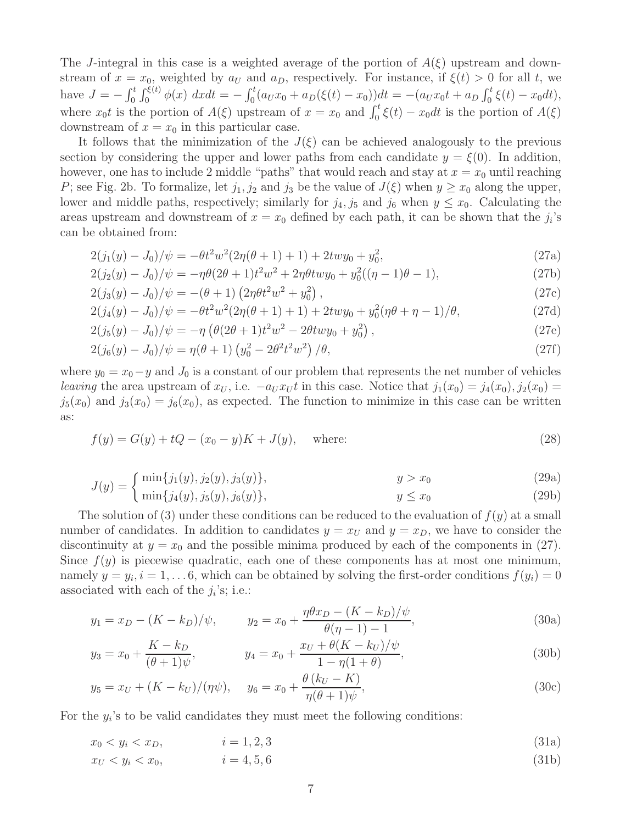The J-integral in this case is a weighted average of the portion of  $A(\xi)$  upstream and downstream of  $x = x_0$ , weighted by  $a_U$  and  $a_D$ , respectively. For instance, if  $\xi(t) > 0$  for all t, we have  $J = -\int_0^t \int_0^{\xi(t)} \phi(x) dx dt = -\int_0^t (a_U x_0 + a_D(\xi(t) - x_0)) dt = -(a_U x_0 t + a_D \int_0^t \xi(t) - x_0 dt),$ where  $x_0t$  is the portion of  $A(\xi)$  upstream of  $x = x_0$  and  $\int_0^t \xi(t) - x_0 dt$  is the portion of  $A(\xi)$ downstream of  $x = x_0$  in this particular case.

It follows that the minimization of the  $J(\xi)$  can be achieved analogously to the previous section by considering the upper and lower paths from each candidate  $y = \xi(0)$ . In addition, however, one has to include 2 middle "paths" that would reach and stay at  $x = x_0$  until reaching P; see Fig. 2b. To formalize, let  $j_1, j_2$  and  $j_3$  be the value of  $J(\xi)$  when  $y \ge x_0$  along the upper, lower and middle paths, respectively; similarly for  $j_4$ ,  $j_5$  and  $j_6$  when  $y \leq x_0$ . Calculating the areas upstream and downstream of  $x = x_0$  defined by each path, it can be shown that the  $j_i$ 's can be obtained from:

$$
2(j_1(y) - J_0)/\psi = -\theta t^2 w^2 (2\eta(\theta + 1) + 1) + 2t w y_0 + y_0^2,
$$
\n(27a)

$$
2(j_2(y) - J_0)/\psi = -\eta \theta (2\theta + 1)t^2 w^2 + 2\eta \theta t w y_0 + y_0^2 ((\eta - 1)\theta - 1),
$$
\n(27b)

$$
2(j_3(y) - J_0)/\psi = -(\theta + 1) \left(2\eta \theta t^2 w^2 + y_0^2\right),\tag{27c}
$$

$$
2(j_4(y) - J_0)/\psi = -\theta t^2 w^2 (2\eta(\theta + 1) + 1) + 2t w y_0 + y_0^2 (\eta \theta + \eta - 1)/\theta,
$$
\n(27d)

$$
2(j_5(y) - J_0)/\psi = -\eta \left(\theta(2\theta + 1)t^2 w^2 - 2\theta t w y_0 + y_0^2\right),\tag{27e}
$$

$$
2(j_6(y) - J_0)/\psi = \eta(\theta + 1) \left( y_0^2 - 2\theta^2 t^2 w^2 \right) / \theta, \tag{27f}
$$

where  $y_0 = x_0 - y$  and  $J_0$  is a constant of our problem that represents the net number of vehicles *leaving* the area upstream of  $x_U$ , i.e.  $-a_U x_U t$  in this case. Notice that  $j_1(x_0) = j_4(x_0)$ ,  $j_2(x_0) =$  $j_5(x_0)$  and  $j_3(x_0) = j_6(x_0)$ , as expected. The function to minimize in this case can be written as:

$$
f(y) = G(y) + tQ - (x_0 - y)K + J(y), \quad \text{where:}
$$
\n(28)

$$
J(y) = \begin{cases} \min\{j_1(y), j_2(y), j_3(y)\}, & y > x_0 \end{cases}
$$
(29a)

$$
\{ \min\{j_4(y), j_5(y), j_6(y)\}, \qquad \qquad y \le x_0 \tag{29b}
$$

The solution of (3) under these conditions can be reduced to the evaluation of  $f(y)$  at a small number of candidates. In addition to candidates  $y = x_U$  and  $y = x_D$ , we have to consider the discontinuity at  $y = x_0$  and the possible minima produced by each of the components in (27). Since  $f(y)$  is piecewise quadratic, each one of these components has at most one minimum, namely  $y = y_i$ ,  $i = 1, \ldots 6$ , which can be obtained by solving the first-order conditions  $f(y_i) = 0$ associated with each of the  $j_i$ 's; i.e.:

$$
y_1 = x_D - (K - k_D)/\psi,
$$
  $y_2 = x_0 + \frac{\eta \theta x_D - (K - k_D)/\psi}{\theta(\eta - 1) - 1},$  (30a)

$$
y_3 = x_0 + \frac{K - k_D}{(\theta + 1)\psi}, \qquad y_4 = x_0 + \frac{x_U + \theta(K - k_U)/\psi}{1 - \eta(1 + \theta)}, \qquad (30b)
$$

$$
y_5 = x_U + (K - k_U)/(\eta \psi), \quad y_6 = x_0 + \frac{\theta (k_U - K)}{\eta (\theta + 1)\psi},
$$
 (30c)

For the  $y_i$ 's to be valid candidates they must meet the following conditions:

$$
x_0 < y_i < x_D,\tag{31a}
$$

$$
x_U < y_i < x_0,\tag{31b}
$$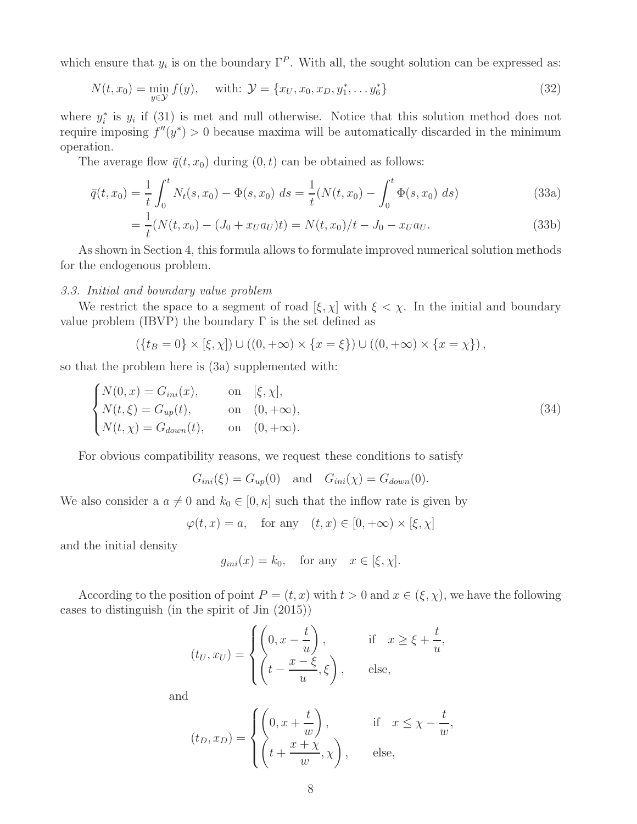which ensure that  $y_i$  is on the boundary  $\Gamma^P$ . With all, the sought solution can be expressed as:

$$
N(t, x_0) = \min_{y \in \mathcal{Y}} f(y), \quad \text{with: } \mathcal{Y} = \{x_U, x_0, x_D, y_1^*, \dots y_6^*\}
$$
\n(32)

where  $y_i^*$  is  $y_i$  if (31) is met and null otherwise. Notice that this solution method does not require imposing  $f''(y^*) > 0$  because maxima will be automatically discarded in the minimum operation.

The average flow  $\bar{q}(t, x_0)$  during  $(0, t)$  can be obtained as follows:

$$
\bar{q}(t,x_0) = \frac{1}{t} \int_0^t N_t(s,x_0) - \Phi(s,x_0) \, ds = \frac{1}{t} (N(t,x_0) - \int_0^t \Phi(s,x_0) \, ds) \tag{33a}
$$

$$
= \frac{1}{t}(N(t, x_0) - (J_0 + x_U a_U)t) = N(t, x_0)/t - J_0 - x_U a_U.
$$
\n(33b)

As shown in Section 4, this formula allows to formulate improved numerical solution methods for the endogenous problem.

## *3.3. Initial and boundary value problem*

We restrict the space to a segment of road  $[\xi, \chi]$  with  $\xi < \chi$ . In the initial and boundary value problem (IBVP) the boundary  $\Gamma$  is the set defined as

$$
(\{t_B = 0\} \times [\xi, \chi]) \cup ((0, +\infty) \times \{x = \xi\}) \cup ((0, +\infty) \times \{x = \chi\}),
$$

so that the problem here is (3a) supplemented with:

$$
\begin{cases}\nN(0, x) = G_{ini}(x), & \text{on} \quad [\xi, \chi], \\
N(t, \xi) = G_{up}(t), & \text{on} \quad (0, +\infty), \\
N(t, \chi) = G_{down}(t), & \text{on} \quad (0, +\infty).\n\end{cases}
$$
\n(34)

For obvious compatibility reasons, we request these conditions to satisfy

$$
G_{ini}(\xi) = G_{up}(0) \quad \text{and} \quad G_{ini}(\chi) = G_{down}(0).
$$

We also consider a  $a \neq 0$  and  $k_0 \in [0, \kappa]$  such that the inflow rate is given by

$$
\varphi(t, x) = a
$$
, for any  $(t, x) \in [0, +\infty) \times [\xi, \chi]$ 

and the initial density

$$
g_{ini}(x) = k_0, \quad \text{for any} \quad x \in [\xi, \chi].
$$

According to the position of point  $P = (t, x)$  with  $t > 0$  and  $x \in (\xi, \chi)$ , we have the following cases to distinguish (in the spirit of Jin (2015))

$$
(t_U, x_U) = \begin{cases} \left(0, x - \frac{t}{u}\right), & \text{if } x \ge \xi + \frac{t}{u},\\ \left(t - \frac{x - \xi}{u}, \xi\right), & \text{else,} \end{cases}
$$

and

$$
(t_D, x_D) = \begin{cases} \left(0, x + \frac{t}{w}\right), & \text{if } x \le \chi - \frac{t}{w}, \\ \left(t + \frac{x + \chi}{w}, \chi\right), & \text{else,} \end{cases}
$$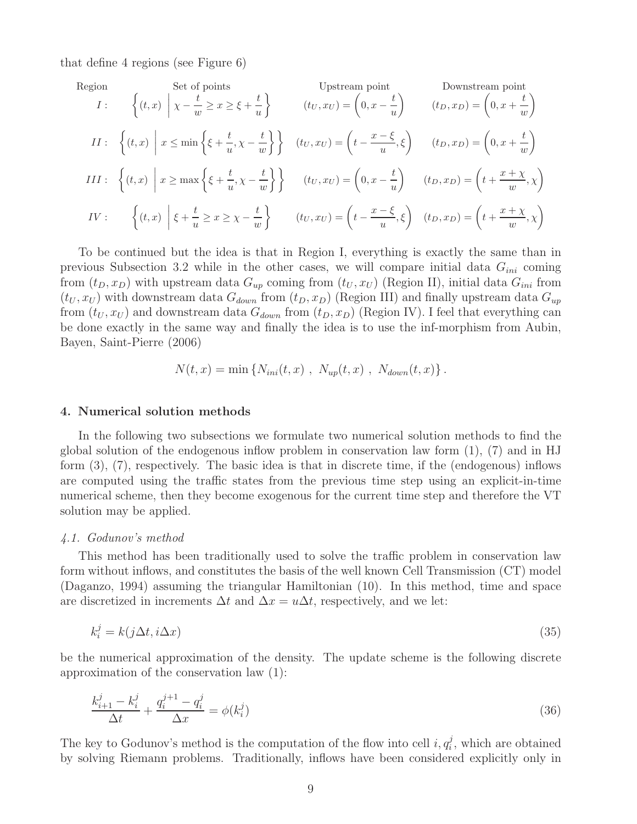that define 4 regions (see Figure 6)

Region

\n
$$
I: \quad \left\{ (t, x) \mid x - \frac{t}{w} \ge x \ge \xi + \frac{t}{u} \right\} \quad \text{Unstream point}
$$
\n
$$
II: \quad \left\{ (t, x) \mid x \le \min \left\{ \xi + \frac{t}{u}, \chi - \frac{t}{w} \right\} \right\} \quad (t_U, x_U) = \left( 0, x - \frac{t}{u} \right) \quad (t_D, x_D) = \left( 0, x + \frac{t}{w} \right)
$$
\n
$$
III: \quad \left\{ (t, x) \mid x \ge \min \left\{ \xi + \frac{t}{u}, \chi - \frac{t}{w} \right\} \right\} \quad (t_U, x_U) = \left( t - \frac{x - \xi}{u}, \xi \right) \quad (t_D, x_D) = \left( 0, x + \frac{t}{w} \right)
$$
\n
$$
III: \quad \left\{ (t, x) \mid x \ge \max \left\{ \xi + \frac{t}{u}, \chi - \frac{t}{w} \right\} \right\} \quad (t_U, x_U) = \left( 0, x - \frac{t}{u} \right) \quad (t_D, x_D) = \left( t + \frac{x + \chi}{w}, \chi \right)
$$
\n
$$
IV: \quad \left\{ (t, x) \mid \xi + \frac{t}{u} \ge x \ge \chi - \frac{t}{w} \right\} \quad (t_U, x_U) = \left( t - \frac{x - \xi}{u}, \xi \right) \quad (t_D, x_D) = \left( t + \frac{x + \chi}{w}, \chi \right)
$$

To be continued but the idea is that in Region I, everything is exactly the same than in previous Subsection 3.2 while in the other cases, we will compare initial data  $G_{ini}$  coming from  $(t_D, x_D)$  with upstream data  $G_{up}$  coming from  $(t_U, x_U)$  (Region II), initial data  $G_{ini}$  from  $(t_U, x_U)$  with downstream data  $G_{down}$  from  $(t_D, x_D)$  (Region III) and finally upstream data  $G_{up}$ from  $(t_U, x_U)$  and downstream data  $G_{down}$  from  $(t_D, x_D)$  (Region IV). I feel that everything can be done exactly in the same way and finally the idea is to use the inf-morphism from Aubin, Bayen, Saint-Pierre (2006)

$$
N(t, x) = \min \{ N_{ini}(t, x) , N_{up}(t, x) , N_{down}(t, x) \} .
$$

## 4. Numerical solution methods

In the following two subsections we formulate two numerical solution methods to find the global solution of the endogenous inflow problem in conservation law form (1), (7) and in HJ form (3), (7), respectively. The basic idea is that in discrete time, if the (endogenous) inflows are computed using the traffic states from the previous time step using an explicit-in-time numerical scheme, then they become exogenous for the current time step and therefore the VT solution may be applied.

## *4.1. Godunov's method*

This method has been traditionally used to solve the traffic problem in conservation law form without inflows, and constitutes the basis of the well known Cell Transmission (CT) model (Daganzo, 1994) assuming the triangular Hamiltonian (10). In this method, time and space are discretized in increments  $\Delta t$  and  $\Delta x = u\Delta t$ , respectively, and we let:

$$
k_i^j = k(j\Delta t, i\Delta x) \tag{35}
$$

be the numerical approximation of the density. The update scheme is the following discrete approximation of the conservation law (1):

$$
\frac{k_{i+1}^j - k_i^j}{\Delta t} + \frac{q_i^{j+1} - q_i^j}{\Delta x} = \phi(k_i^j)
$$
\n(36)

The key to Godunov's method is the computation of the flow into cell  $i, q_i^j$ , which are obtained by solving Riemann problems. Traditionally, inflows have been considered explicitly only in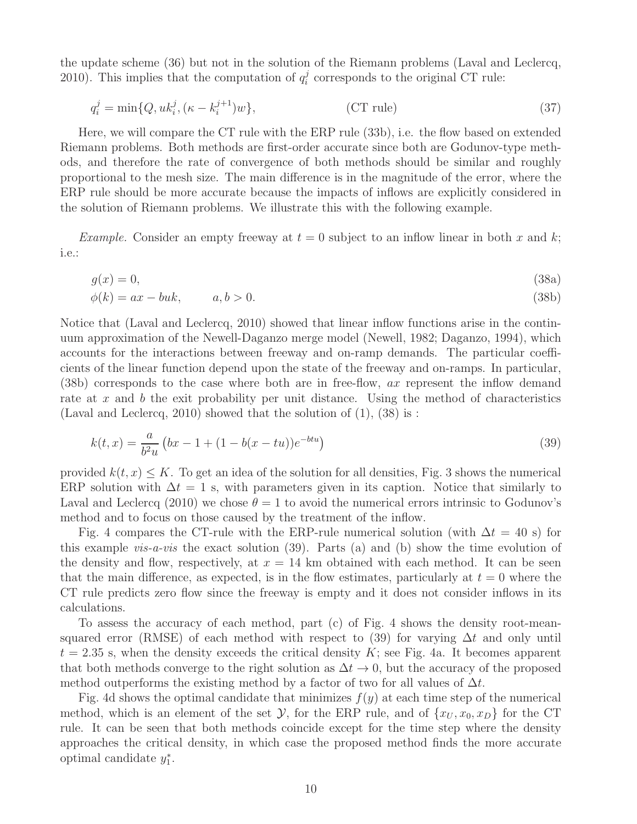the update scheme (36) but not in the solution of the Riemann problems (Laval and Leclercq, 2010). This implies that the computation of  $q_i^j$  $i_i^j$  corresponds to the original CT rule:

$$
q_i^j = \min\{Q, uk_i^j, (\kappa - k_i^{j+1})w\},\tag{37}
$$

Here, we will compare the CT rule with the ERP rule (33b), i.e. the flow based on extended Riemann problems. Both methods are first-order accurate since both are Godunov-type methods, and therefore the rate of convergence of both methods should be similar and roughly proportional to the mesh size. The main difference is in the magnitude of the error, where the ERP rule should be more accurate because the impacts of inflows are explicitly considered in the solution of Riemann problems. We illustrate this with the following example.

*Example.* Consider an empty freeway at  $t = 0$  subject to an inflow linear in both x and k; i.e.:

$$
g(x) = 0,\tag{38a}
$$

$$
\phi(k) = ax - buk, \qquad a, b > 0. \tag{38b}
$$

Notice that (Laval and Leclercq, 2010) showed that linear inflow functions arise in the continuum approximation of the Newell-Daganzo merge model (Newell, 1982; Daganzo, 1994), which accounts for the interactions between freeway and on-ramp demands. The particular coefficients of the linear function depend upon the state of the freeway and on-ramps. In particular, (38b) corresponds to the case where both are in free-flow, ax represent the inflow demand rate at x and b the exit probability per unit distance. Using the method of characteristics (Laval and Leclercq, 2010) showed that the solution of  $(1)$ ,  $(38)$  is :

$$
k(t,x) = \frac{a}{b^2u} \left( bx - 1 + (1 - b(x - tu))e^{-btu} \right)
$$
\n(39)

provided  $k(t, x) \leq K$ . To get an idea of the solution for all densities, Fig. 3 shows the numerical ERP solution with  $\Delta t = 1$  s, with parameters given in its caption. Notice that similarly to Laval and Leclercq (2010) we chose  $\theta = 1$  to avoid the numerical errors intrinsic to Godunov's method and to focus on those caused by the treatment of the inflow.

Fig. 4 compares the CT-rule with the ERP-rule numerical solution (with  $\Delta t = 40$  s) for this example *vis-a-vis* the exact solution (39). Parts (a) and (b) show the time evolution of the density and flow, respectively, at  $x = 14$  km obtained with each method. It can be seen that the main difference, as expected, is in the flow estimates, particularly at  $t = 0$  where the CT rule predicts zero flow since the freeway is empty and it does not consider inflows in its calculations.

To assess the accuracy of each method, part (c) of Fig. 4 shows the density root-meansquared error (RMSE) of each method with respect to (39) for varying  $\Delta t$  and only until  $t = 2.35$  s, when the density exceeds the critical density K; see Fig. 4a. It becomes apparent that both methods converge to the right solution as  $\Delta t \to 0$ , but the accuracy of the proposed method outperforms the existing method by a factor of two for all values of  $\Delta t$ .

Fig. 4d shows the optimal candidate that minimizes  $f(y)$  at each time step of the numerical method, which is an element of the set  $\mathcal{Y}$ , for the ERP rule, and of  $\{x_U, x_0, x_D\}$  for the CT rule. It can be seen that both methods coincide except for the time step where the density approaches the critical density, in which case the proposed method finds the more accurate optimal candidate y ∗  $_{1}^{\ast}$ .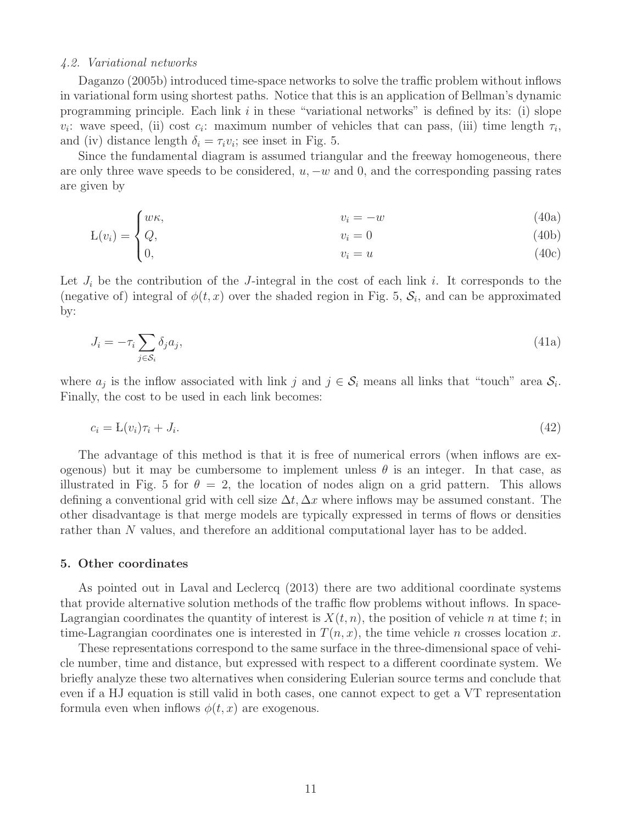## *4.2. Variational networks*

Daganzo (2005b) introduced time-space networks to solve the traffic problem without inflows in variational form using shortest paths. Notice that this is an application of Bellman's dynamic programming principle. Each link  $i$  in these "variational networks" is defined by its: (i) slope  $v_i$ : wave speed, (ii) cost  $c_i$ : maximum number of vehicles that can pass, (iii) time length  $\tau_i$ , and (iv) distance length  $\delta_i = \tau_i v_i$ ; see inset in Fig. 5.

Since the fundamental diagram is assumed triangular and the freeway homogeneous, there are only three wave speeds to be considered,  $u, -w$  and 0, and the corresponding passing rates are given by

$$
v_i = -w \tag{40a}
$$

$$
L(v_i) = \begin{cases} w_i, & v_i = 0 \\ Q, & v_i = u \end{cases}
$$
 (40b)  
\n
$$
v_i = u
$$
 (40c)

Let  $J_i$  be the contribution of the J-integral in the cost of each link i. It corresponds to the (negative of) integral of  $\phi(t,x)$  over the shaded region in Fig. 5,  $\mathcal{S}_i$ , and can be approximated by:

$$
J_i = -\tau_i \sum_{j \in S_i} \delta_j a_j,\tag{41a}
$$

where  $a_j$  is the inflow associated with link j and  $j \in \mathcal{S}_i$  means all links that "touch" area  $\mathcal{S}_i$ . Finally, the cost to be used in each link becomes:

$$
c_i = \mathcal{L}(v_i)\tau_i + J_i. \tag{42}
$$

The advantage of this method is that it is free of numerical errors (when inflows are exogenous) but it may be cumbersome to implement unless  $\theta$  is an integer. In that case, as illustrated in Fig. 5 for  $\theta = 2$ , the location of nodes align on a grid pattern. This allows defining a conventional grid with cell size  $\Delta t$ ,  $\Delta x$  where inflows may be assumed constant. The other disadvantage is that merge models are typically expressed in terms of flows or densities rather than N values, and therefore an additional computational layer has to be added.

## 5. Other coordinates

As pointed out in Laval and Leclercq (2013) there are two additional coordinate systems that provide alternative solution methods of the traffic flow problems without inflows. In space-Lagrangian coordinates the quantity of interest is  $X(t, n)$ , the position of vehicle n at time t; in time-Lagrangian coordinates one is interested in  $T(n, x)$ , the time vehicle n crosses location x.

These representations correspond to the same surface in the three-dimensional space of vehicle number, time and distance, but expressed with respect to a different coordinate system. We briefly analyze these two alternatives when considering Eulerian source terms and conclude that even if a HJ equation is still valid in both cases, one cannot expect to get a VT representation formula even when inflows  $\phi(t, x)$  are exogenous.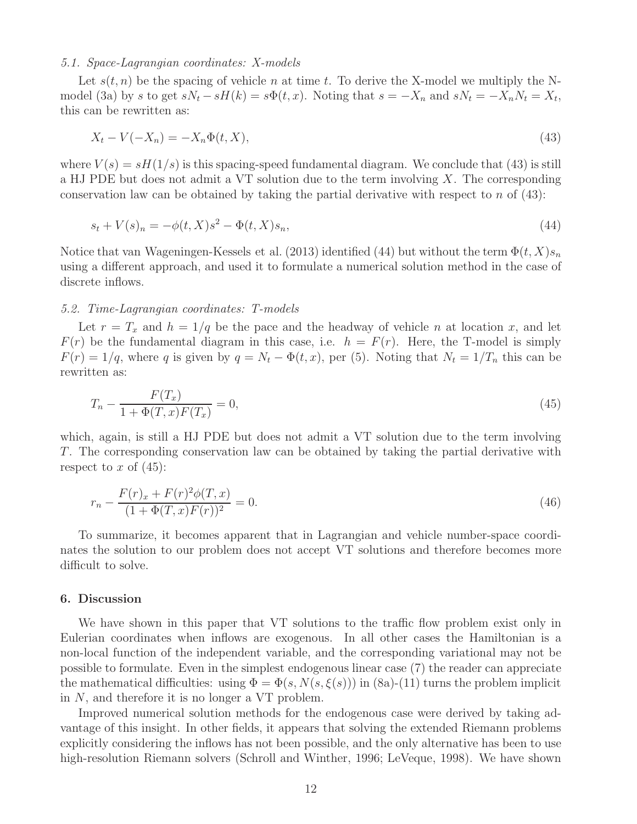# *5.1. Space-Lagrangian coordinates: X-models*

Let  $s(t, n)$  be the spacing of vehicle n at time t. To derive the X-model we multiply the Nmodel (3a) by s to get  $sN_t - sH(k) = s\Phi(t, x)$ . Noting that  $s = -X_n$  and  $sN_t = -X_nN_t = X_t$ , this can be rewritten as:

$$
X_t - V(-X_n) = -X_n \Phi(t, X),\tag{43}
$$

where  $V(s) = sH(1/s)$  is this spacing-speed fundamental diagram. We conclude that (43) is still a HJ PDE but does not admit a VT solution due to the term involving  $X$ . The corresponding conservation law can be obtained by taking the partial derivative with respect to  $n$  of  $(43)$ :

$$
s_t + V(s)_n = -\phi(t, X)s^2 - \Phi(t, X)s_n,
$$
\n(44)

Notice that van Wageningen-Kessels et al. (2013) identified (44) but without the term  $\Phi(t, X) s_n$ using a different approach, and used it to formulate a numerical solution method in the case of discrete inflows.

# *5.2. Time-Lagrangian coordinates: T-models*

Let  $r = T_x$  and  $h = 1/q$  be the pace and the headway of vehicle n at location x, and let  $F(r)$  be the fundamental diagram in this case, i.e.  $h = F(r)$ . Here, the T-model is simply  $F(r) = 1/q$ , where q is given by  $q = N_t - \Phi(t, x)$ , per (5). Noting that  $N_t = 1/T_n$  this can be rewritten as:

$$
T_n - \frac{F(T_x)}{1 + \Phi(T, x)F(T_x)} = 0,\t\t(45)
$$

which, again, is still a HJ PDE but does not admit a VT solution due to the term involving T. The corresponding conservation law can be obtained by taking the partial derivative with respect to x of  $(45)$ :

$$
r_n - \frac{F(r)_x + F(r)^2 \phi(T, x)}{(1 + \Phi(T, x)F(r))^2} = 0.
$$
\n(46)

To summarize, it becomes apparent that in Lagrangian and vehicle number-space coordinates the solution to our problem does not accept VT solutions and therefore becomes more difficult to solve.

#### 6. Discussion

We have shown in this paper that VT solutions to the traffic flow problem exist only in Eulerian coordinates when inflows are exogenous. In all other cases the Hamiltonian is a non-local function of the independent variable, and the corresponding variational may not be possible to formulate. Even in the simplest endogenous linear case (7) the reader can appreciate the mathematical difficulties: using  $\Phi = \Phi(s, N(s, \xi(s)))$  in  $(8a)-(11)$  turns the problem implicit in N, and therefore it is no longer a VT problem.

Improved numerical solution methods for the endogenous case were derived by taking advantage of this insight. In other fields, it appears that solving the extended Riemann problems explicitly considering the inflows has not been possible, and the only alternative has been to use high-resolution Riemann solvers (Schroll and Winther, 1996; LeVeque, 1998). We have shown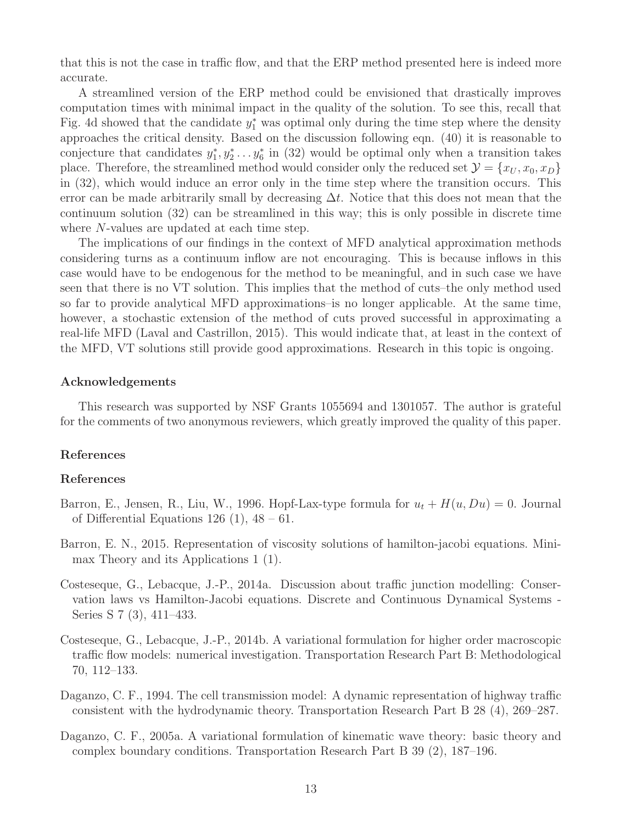that this is not the case in traffic flow, and that the ERP method presented here is indeed more accurate.

A streamlined version of the ERP method could be envisioned that drastically improves computation times with minimal impact in the quality of the solution. To see this, recall that Fig. 4d showed that the candidate  $y_1^*$  was optimal only during the time step where the density approaches the critical density. Based on the discussion following eqn. (40) it is reasonable to conjecture that candidates  $y_1^*, y_2^* \dots y_6^*$  in (32) would be optimal only when a transition takes place. Therefore, the streamlined method would consider only the reduced set  $\mathcal{Y} = \{x_U, x_0, x_D\}$ in (32), which would induce an error only in the time step where the transition occurs. This error can be made arbitrarily small by decreasing  $\Delta t$ . Notice that this does not mean that the continuum solution (32) can be streamlined in this way; this is only possible in discrete time where N-values are updated at each time step.

The implications of our findings in the context of MFD analytical approximation methods considering turns as a continuum inflow are not encouraging. This is because inflows in this case would have to be endogenous for the method to be meaningful, and in such case we have seen that there is no VT solution. This implies that the method of cuts–the only method used so far to provide analytical MFD approximations–is no longer applicable. At the same time, however, a stochastic extension of the method of cuts proved successful in approximating a real-life MFD (Laval and Castrillon, 2015). This would indicate that, at least in the context of the MFD, VT solutions still provide good approximations. Research in this topic is ongoing.

# Acknowledgements

This research was supported by NSF Grants 1055694 and 1301057. The author is grateful for the comments of two anonymous reviewers, which greatly improved the quality of this paper.

# References

# References

- Barron, E., Jensen, R., Liu, W., 1996. Hopf-Lax-type formula for  $u_t + H(u, Du) = 0$ . Journal of Differential Equations 126 (1),  $48 - 61$ .
- Barron, E. N., 2015. Representation of viscosity solutions of hamilton-jacobi equations. Minimax Theory and its Applications 1 (1).
- Costeseque, G., Lebacque, J.-P., 2014a. Discussion about traffic junction modelling: Conservation laws vs Hamilton-Jacobi equations. Discrete and Continuous Dynamical Systems - Series S 7 (3), 411–433.
- Costeseque, G., Lebacque, J.-P., 2014b. A variational formulation for higher order macroscopic traffic flow models: numerical investigation. Transportation Research Part B: Methodological 70, 112–133.
- Daganzo, C. F., 1994. The cell transmission model: A dynamic representation of highway traffic consistent with the hydrodynamic theory. Transportation Research Part B 28 (4), 269–287.
- Daganzo, C. F., 2005a. A variational formulation of kinematic wave theory: basic theory and complex boundary conditions. Transportation Research Part B 39 (2), 187–196.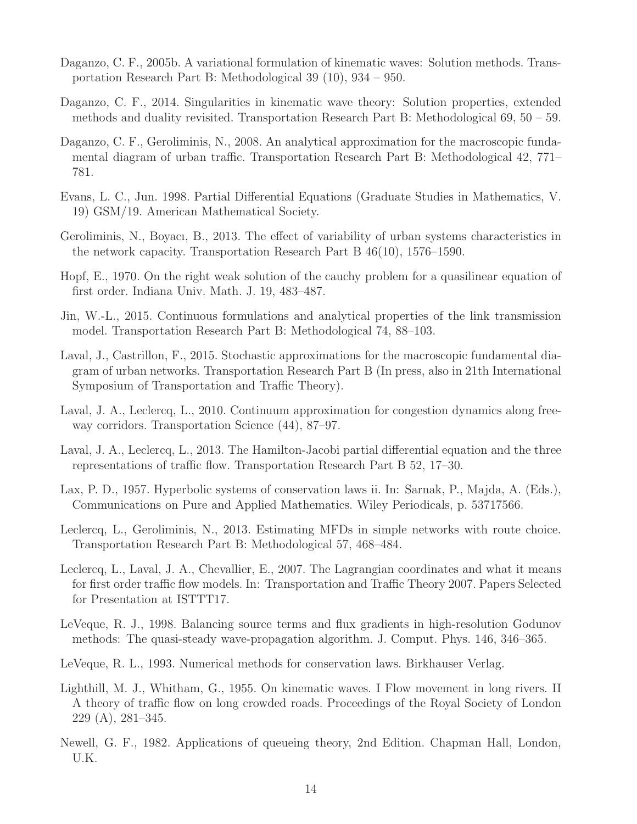- Daganzo, C. F., 2005b. A variational formulation of kinematic waves: Solution methods. Transportation Research Part B: Methodological 39 (10), 934 – 950.
- Daganzo, C. F., 2014. Singularities in kinematic wave theory: Solution properties, extended methods and duality revisited. Transportation Research Part B: Methodological 69, 50 – 59.
- Daganzo, C. F., Geroliminis, N., 2008. An analytical approximation for the macroscopic fundamental diagram of urban traffic. Transportation Research Part B: Methodological 42, 771– 781.
- Evans, L. C., Jun. 1998. Partial Differential Equations (Graduate Studies in Mathematics, V. 19) GSM/19. American Mathematical Society.
- Geroliminis, N., Boyacı, B., 2013. The effect of variability of urban systems characteristics in the network capacity. Transportation Research Part B 46(10), 1576–1590.
- Hopf, E., 1970. On the right weak solution of the cauchy problem for a quasilinear equation of first order. Indiana Univ. Math. J. 19, 483–487.
- Jin, W.-L., 2015. Continuous formulations and analytical properties of the link transmission model. Transportation Research Part B: Methodological 74, 88–103.
- Laval, J., Castrillon, F., 2015. Stochastic approximations for the macroscopic fundamental diagram of urban networks. Transportation Research Part B (In press, also in 21th International Symposium of Transportation and Traffic Theory).
- Laval, J. A., Leclercq, L., 2010. Continuum approximation for congestion dynamics along freeway corridors. Transportation Science (44), 87–97.
- Laval, J. A., Leclercq, L., 2013. The Hamilton-Jacobi partial differential equation and the three representations of traffic flow. Transportation Research Part B 52, 17–30.
- Lax, P. D., 1957. Hyperbolic systems of conservation laws ii. In: Sarnak, P., Majda, A. (Eds.), Communications on Pure and Applied Mathematics. Wiley Periodicals, p. 53717566.
- Leclercq, L., Geroliminis, N., 2013. Estimating MFDs in simple networks with route choice. Transportation Research Part B: Methodological 57, 468–484.
- Leclercq, L., Laval, J. A., Chevallier, E., 2007. The Lagrangian coordinates and what it means for first order traffic flow models. In: Transportation and Traffic Theory 2007. Papers Selected for Presentation at ISTTT17.
- LeVeque, R. J., 1998. Balancing source terms and flux gradients in high-resolution Godunov methods: The quasi-steady wave-propagation algorithm. J. Comput. Phys. 146, 346–365.
- LeVeque, R. L., 1993. Numerical methods for conservation laws. Birkhauser Verlag.
- Lighthill, M. J., Whitham, G., 1955. On kinematic waves. I Flow movement in long rivers. II A theory of traffic flow on long crowded roads. Proceedings of the Royal Society of London 229 (A), 281–345.
- Newell, G. F., 1982. Applications of queueing theory, 2nd Edition. Chapman Hall, London, U.K.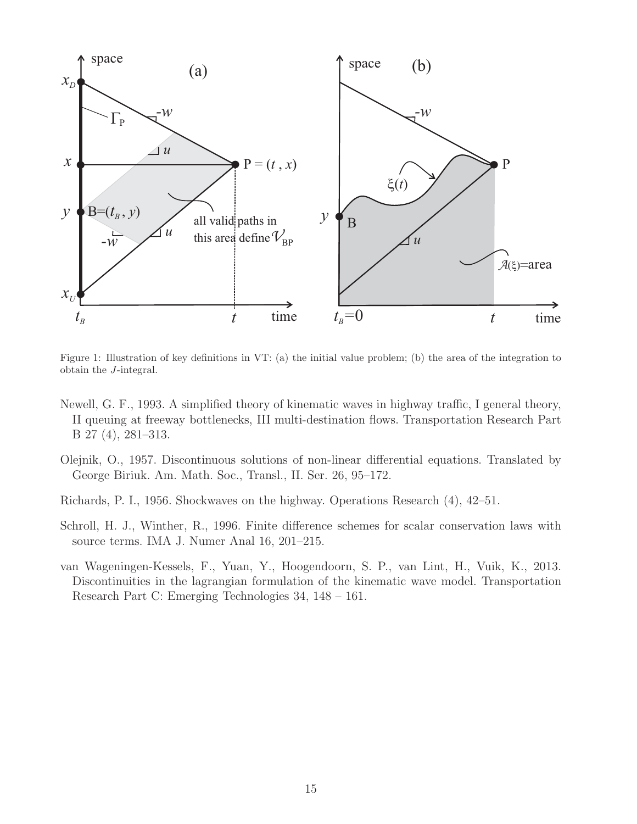

Figure 1: Illustration of key definitions in VT: (a) the initial value problem; (b) the area of the integration to obtain the J-integral.

- Newell, G. F., 1993. A simplified theory of kinematic waves in highway traffic, I general theory, II queuing at freeway bottlenecks, III multi-destination flows. Transportation Research Part B 27 (4), 281–313.
- Olejnik, O., 1957. Discontinuous solutions of non-linear differential equations. Translated by George Biriuk. Am. Math. Soc., Transl., II. Ser. 26, 95–172.
- Richards, P. I., 1956. Shockwaves on the highway. Operations Research (4), 42–51.
- Schroll, H. J., Winther, R., 1996. Finite difference schemes for scalar conservation laws with source terms. IMA J. Numer Anal 16, 201–215.
- van Wageningen-Kessels, F., Yuan, Y., Hoogendoorn, S. P., van Lint, H., Vuik, K., 2013. Discontinuities in the lagrangian formulation of the kinematic wave model. Transportation Research Part C: Emerging Technologies 34, 148 – 161.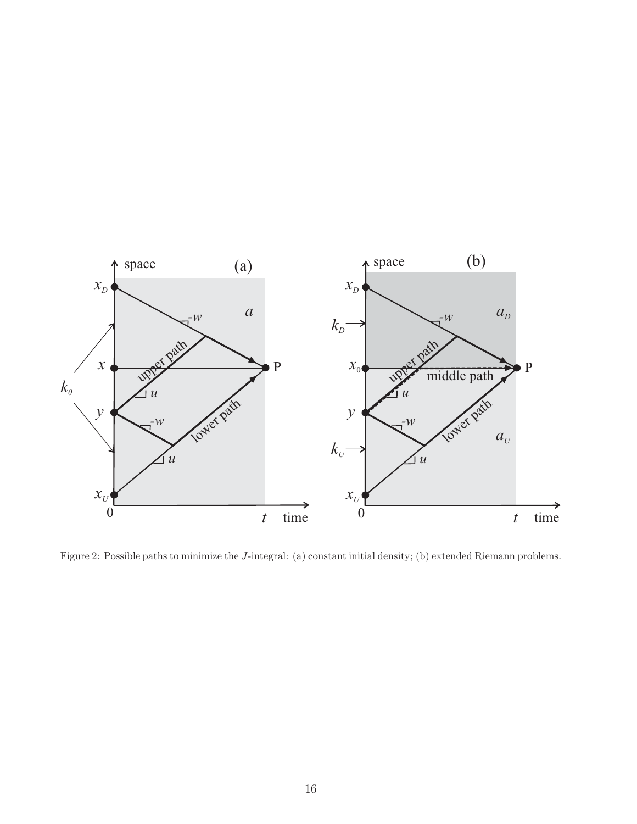

Figure 2: Possible paths to minimize the J-integral: (a) constant initial density; (b) extended Riemann problems.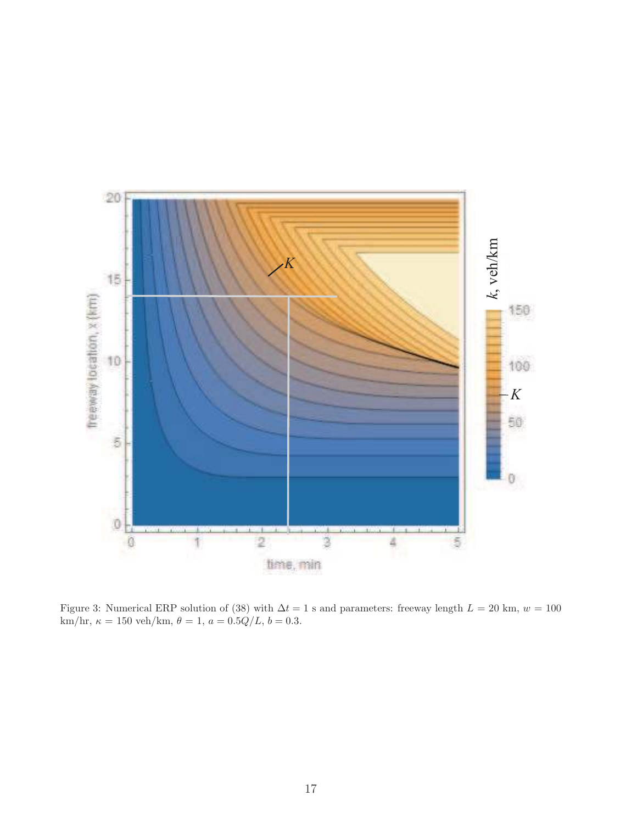

Figure 3: Numerical ERP solution of (38) with  $\Delta t = 1$  s and parameters: freeway length  $L = 20$  km,  $w = 100$ km/hr,  $\kappa = 150 \text{ veh/km}, \theta = 1, a = 0.5Q/L, b = 0.3.$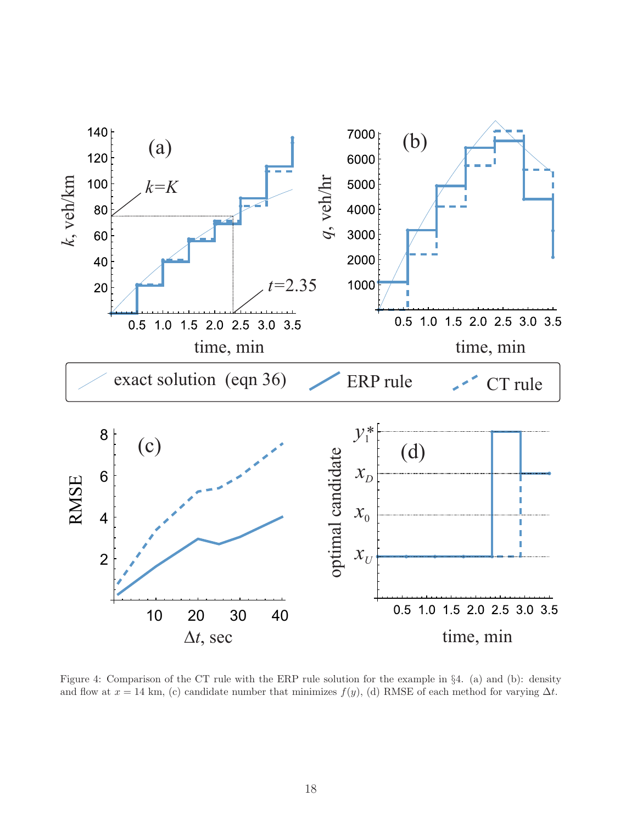

Figure 4: Comparison of the CT rule with the ERP rule solution for the example in §4. (a) and (b): density and flow at  $x = 14$  km, (c) candidate number that minimizes  $f(y)$ , (d) RMSE of each method for varying  $\Delta t$ .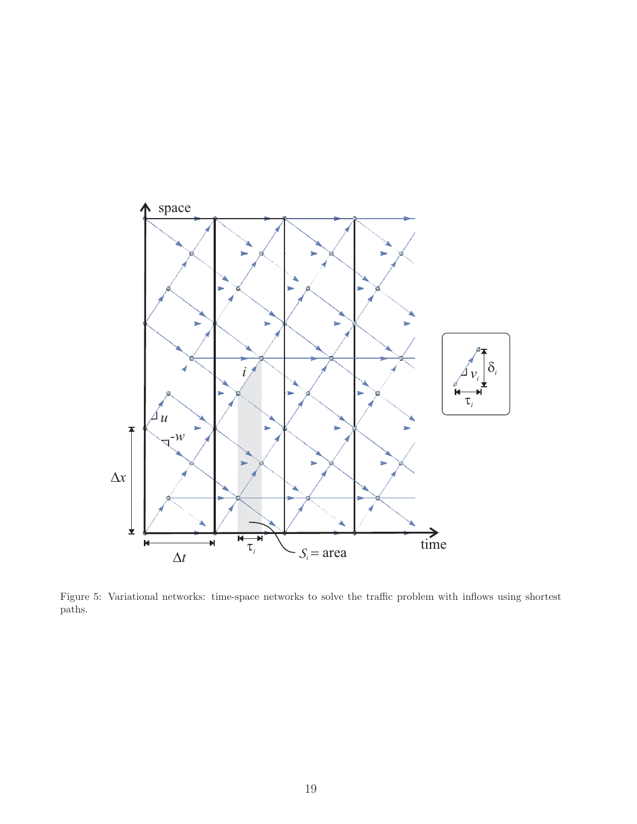

Figure 5: Variational networks: time-space networks to solve the traffic problem with inflows using shortest paths.